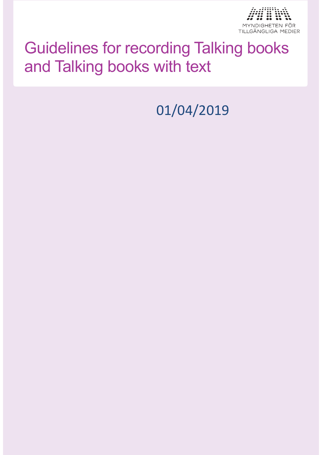

# Guidelines for recording Talking books and Talking books with text

01/04/2019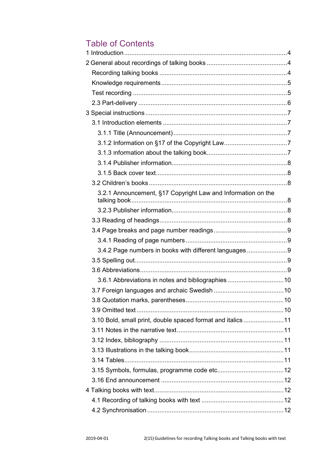### Table of Contents

| 3.2.1 Announcement, §17 Copyright Law and Information on the |  |
|--------------------------------------------------------------|--|
|                                                              |  |
|                                                              |  |
|                                                              |  |
|                                                              |  |
| 3.4.2 Page numbers in books with different languages9        |  |
|                                                              |  |
|                                                              |  |
|                                                              |  |
|                                                              |  |
|                                                              |  |
|                                                              |  |
| 3.10 Bold, small print, double spaced format and italics 11  |  |
|                                                              |  |
|                                                              |  |
|                                                              |  |
|                                                              |  |
|                                                              |  |
|                                                              |  |
|                                                              |  |
|                                                              |  |
|                                                              |  |
|                                                              |  |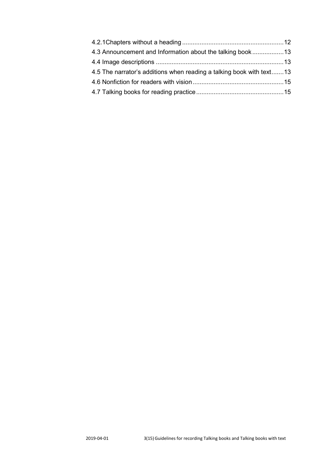| 4.3 Announcement and Information about the talking book13            |  |
|----------------------------------------------------------------------|--|
|                                                                      |  |
| 4.5 The narrator's additions when reading a talking book with text13 |  |
|                                                                      |  |
|                                                                      |  |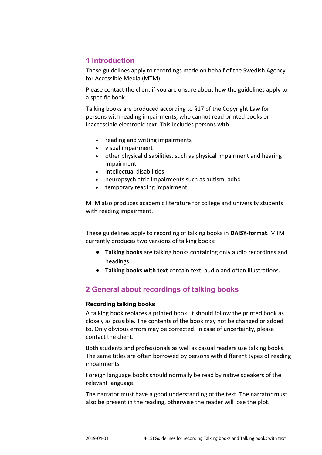#### <span id="page-3-0"></span>**1 Introduction**

These guidelines apply to recordings made on behalf of the Swedish Agency for Accessible Media (MTM).

Please contact the client if you are unsure about how the guidelines apply to a specific book.

Talking books are produced according to §17 of the Copyright Law for persons with reading impairments, who cannot read printed books or inaccessible electronic text. This includes persons with:

- reading and writing impairments
- visual impairment
- other physical disabilities, such as physical impairment and hearing impairment
- intellectual disabilities
- neuropsychiatric impairments such as autism, adhd
- temporary reading impairment

MTM also produces academic literature for college and university students with reading impairment.

These guidelines apply to recording of talking books in **DAISY-format**. MTM currently produces two versions of talking books:

- **Talking books** are talking books containing only audio recordings and headings.
- **Talking books with text** contain text, audio and often illustrations.

### <span id="page-3-1"></span>**2 General about recordings of talking books**

#### <span id="page-3-2"></span>**Recording talking books**

A talking book replaces a printed book. It should follow the printed book as closely as possible. The contents of the book may not be changed or added to. Only obvious errors may be corrected. In case of uncertainty, please contact the client.

Both students and professionals as well as casual readers use talking books. The same titles are often borrowed by persons with different types of reading impairments.

Foreign language books should normally be read by native speakers of the relevant language.

The narrator must have a good understanding of the text. The narrator must also be present in the reading, otherwise the reader will lose the plot.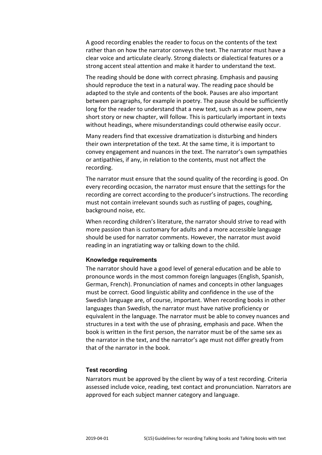A good recording enables the reader to focus on the contents of the text rather than on how the narrator conveys the text. The narrator must have a clear voice and articulate clearly. Strong dialects or dialectical features or a strong accent steal attention and make it harder to understand the text.

The reading should be done with correct phrasing. Emphasis and pausing should reproduce the text in a natural way. The reading pace should be adapted to the style and contents of the book. Pauses are also important between paragraphs, for example in poetry. The pause should be sufficiently long for the reader to understand that a new text, such as a new poem, new short story or new chapter, will follow. This is particularly important in texts without headings, where misunderstandings could otherwise easily occur.

Many readers find that excessive dramatization is disturbing and hinders their own interpretation of the text. At the same time, it is important to convey engagement and nuances in the text. The narrator's own sympathies or antipathies, if any, in relation to the contents, must not affect the recording.

The narrator must ensure that the sound quality of the recording is good. On every recording occasion, the narrator must ensure that the settings for the recording are correct according to the producer's instructions. The recording must not contain irrelevant sounds such as rustling of pages, coughing, background noise, etc.

When recording children's literature, the narrator should strive to read with more passion than is customary for adults and a more accessible language should be used for narrator comments. However, the narrator must avoid reading in an ingratiating way or talking down to the child.

#### <span id="page-4-0"></span>**Knowledge requirements**

The narrator should have a good level of general education and be able to pronounce words in the most common foreign languages (English, Spanish, German, French). Pronunciation of names and concepts in other languages must be correct. Good linguistic ability and confidence in the use of the Swedish language are, of course, important. When recording books in other languages than Swedish, the narrator must have native proficiency or equivalent in the language. The narrator must be able to convey nuances and structures in a text with the use of phrasing, emphasis and pace. When the book is written in the first person, the narrator must be of the same sex as the narrator in the text, and the narrator's age must not differ greatly from that of the narrator in the book.

#### <span id="page-4-1"></span>**Test recording**

Narrators must be approved by the client by way of a test recording. Criteria assessed include voice, reading, text contact and pronunciation. Narrators are approved for each subject manner category and language.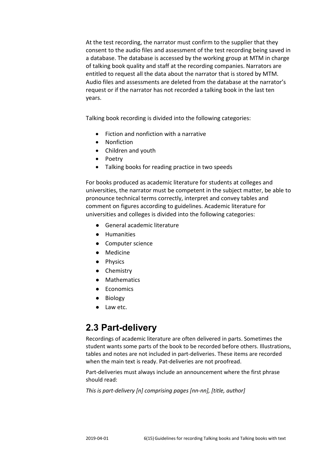At the test recording, the narrator must confirm to the supplier that they consent to the audio files and assessment of the test recording being saved in a database. The database is accessed by the working group at MTM in charge of talking book quality and staff at the recording companies. Narrators are entitled to request all the data about the narrator that is stored by MTM. Audio files and assessments are deleted from the database at the narrator's request or if the narrator has not recorded a talking book in the last ten years.

Talking book recording is divided into the following categories:

- Fiction and nonfiction with a narrative
- Nonfiction
- Children and youth
- Poetry
- Talking books for reading practice in two speeds

For books produced as academic literature for students at colleges and universities, the narrator must be competent in the subject matter, be able to pronounce technical terms correctly, interpret and convey tables and comment on figures according to guidelines. Academic literature for universities and colleges is divided into the following categories:

- General academic literature
- Humanities
- Computer science
- Medicine
- Physics
- Chemistry
- Mathematics
- Economics
- Biology
- Law etc.

### <span id="page-5-0"></span>**2.3 Part-delivery**

Recordings of academic literature are often delivered in parts. Sometimes the student wants some parts of the book to be recorded before others. Illustrations, tables and notes are not included in part-deliveries. These items are recorded when the main text is ready. Pat-deliveries are not proofread.

Part-deliveries must always include an announcement where the first phrase should read:

*This is part-delivery [n] comprising pages [nn-nn], [title, author]*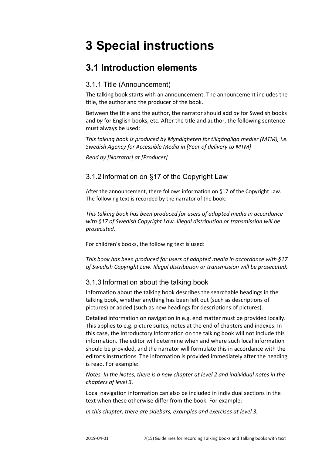# <span id="page-6-0"></span>**3 Special instructions**

### <span id="page-6-1"></span>**3.1 Introduction elements**

#### <span id="page-6-2"></span>3.1.1 Title (Announcement)

The talking book starts with an announcement. The announcement includes the title, the author and the producer of the book.

Between the title and the author, the narrator should add *av* for Swedish books and *by* for English books, etc. After the title and author, the following sentence must always be used:

<span id="page-6-3"></span>*This talking book is produced by Myndigheten för tillgängliga medier (MTM), i.e. Swedish Agency for Accessible Media in [Year of delivery to MTM]* 

*Read by [Narrator] at [Producer]*

#### 3.1.2 Information on §17 of the Copyright Law

After the announcement, there follows information on §17 of the Copyright Law. The following text is recorded by the narrator of the book:

*This talking book has been produced for users of adapted media in accordance with §17 of Swedish Copyright Law. Illegal distribution or transmission will be prosecuted.*

<span id="page-6-4"></span>For children's books, the following text is used:

*This book has been produced for users of adapted media in accordance with §17 of Swedish Copyright Law. Illegal distribution or transmission will be prosecuted.*

#### 3.1.3 Information about the talking book

Information about the talking book describes the searchable headings in the talking book, whether anything has been left out (such as descriptions of pictures) or added (such as new headings for descriptions of pictures).

Detailed information on navigation in e.g. end matter must be provided locally. This applies to e.g. picture suites, notes at the end of chapters and indexes. In this case, the Introductory Information on the talking book will not include this information. The editor will determine when and where such local information should be provided, and the narrator will formulate this in accordance with the editor's instructions. The information is provided immediately after the heading is read. For example:

*Notes. In the Notes, there is a new chapter at level 2 and individual notes in the chapters of level 3.*

Local navigation information can also be included in individual sections in the text when these otherwise differ from the book. For example:

*In this chapter, there are sidebars, examples and exercises at level 3.*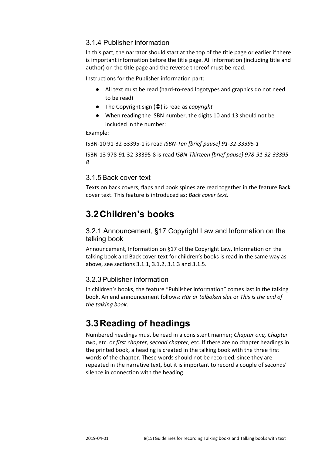#### <span id="page-7-0"></span>3.1.4 Publisher information

In this part, the narrator should start at the top of the title page or earlier if there is important information before the title page. All information (including title and author) on the title page and the reverse thereof must be read.

Instructions for the Publisher information part:

- All text must be read (hard-to-read logotypes and graphics do not need to be read)
- The Copyright sign (©) is read as *copyright*
- When reading the ISBN number, the digits 10 and 13 should not be included in the number:

Example:

ISBN-10 91-32-33395-1 is read *ISBN-Ten [brief pause] 91-32-33395-1*

ISBN-13 978-91-32-33395-8 is read *ISBN-Thirteen [brief pause] 978-91-32-33395- 8*

#### <span id="page-7-1"></span>3.1.5Back cover text

Texts on back covers, flaps and book spines are read together in the feature Back cover text. This feature is introduced as: *Back cover text.*

## <span id="page-7-2"></span>**3.2Children's books**

<span id="page-7-3"></span>3.2.1 Announcement, §17 Copyright Law and Information on the talking book

Announcement, Information on §17 of the Copyright Law, Information on the talking book and Back cover text for children's books is read in the same way as above, see sections 3.1.1, 3.1.2, 3.1.3 and 3.1.5.

#### <span id="page-7-4"></span>3.2.3Publisher information

In children's books, the feature "Publisher information" comes last in the talking book. An end announcement follows: *Här är talboken slut* or *This is the end of the talking book*.

### <span id="page-7-5"></span>**3.3Reading of headings**

Numbered headings must be read in a consistent manner; *Chapter one, Chapter two*, etc. or *first chapter, second chapter*, etc. If there are no chapter headings in the printed book, a heading is created in the talking book with the three first words of the chapter. These words should not be recorded, since they are repeated in the narrative text, but it is important to record a couple of seconds' silence in connection with the heading.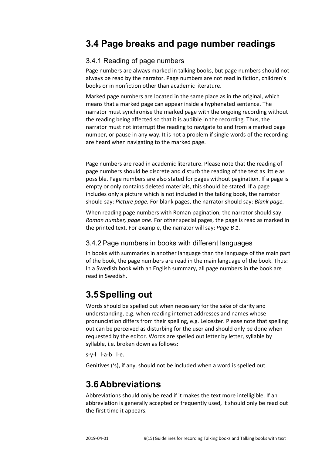### <span id="page-8-1"></span><span id="page-8-0"></span>3.4.1 Reading of page numbers

Page numbers are always marked in talking books, but page numbers should not always be read by the narrator. Page numbers are not read in fiction, children's books or in nonfiction other than academic literature.

Marked page numbers are located in the same place as in the original, which means that a marked page can appear inside a hyphenated sentence. The narrator must synchronise the marked page with the ongoing recording without the reading being affected so that it is audible in the recording. Thus, the narrator must not interrupt the reading to navigate to and from a marked page number, or pause in any way. It is not a problem if single words of the recording are heard when navigating to the marked page.

Page numbers are read in academic literature. Please note that the reading of page numbers should be discrete and disturb the reading of the text as little as possible. Page numbers are also stated for pages without pagination. If a page is empty or only contains deleted materials, this should be stated. If a page includes only a picture which is not included in the talking book, the narrator should say: *Picture page.* For blank pages, the narrator should say: *Blank page.*

When reading page numbers with Roman pagination, the narrator should say: *Roman number, page one*. For other special pages, the page is read as marked in the printed text. For example, the narrator will say: *Page B 1*.

#### <span id="page-8-2"></span>3.4.2Page numbers in books with different languages

In books with summaries in another language than the language of the main part of the book, the page numbers are read in the main language of the book. Thus: In a Swedish book with an English summary, all page numbers in the book are read in Swedish.

# <span id="page-8-3"></span>**3.5Spelling out**

Words should be spelled out when necessary for the sake of clarity and understanding, e.g. when reading internet addresses and names whose pronunciation differs from their spelling, e.g. Leicester. Please note that spelling out can be perceived as disturbing for the user and should only be done when requested by the editor. Words are spelled out letter by letter, syllable by syllable, i.e. broken down as follows:

s-y-l l-a-b l-e.

Genitives ('s), if any, should not be included when a word is spelled out.

# <span id="page-8-4"></span>**3.6Abbreviations**

Abbreviations should only be read if it makes the text more intelligible. If an abbreviation is generally accepted or frequently used, it should only be read out the first time it appears.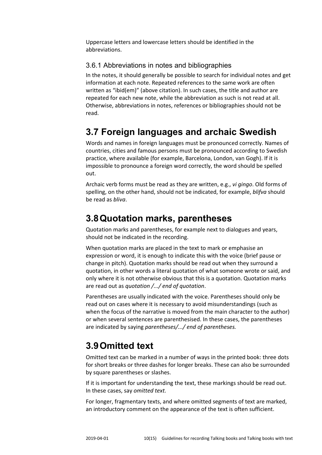Uppercase letters and lowercase letters should be identified in the abbreviations.

#### <span id="page-9-0"></span>3.6.1 Abbreviations in notes and bibliographies

In the notes, it should generally be possible to search for individual notes and get information at each note. Repeated references to the same work are often written as "ibid(em)" (above citation). In such cases, the title and author are repeated for each new note, while the abbreviation as such is not read at all. Otherwise, abbreviations in notes, references or bibliographies should not be read.

### <span id="page-9-1"></span>**3.7 Foreign languages and archaic Swedish**

Words and names in foreign languages must be pronounced correctly. Names of countries, cities and famous persons must be pronounced according to Swedish practice, where available (for example, Barcelona, London, van Gogh). If it is impossible to pronounce a foreign word correctly, the word should be spelled out.

Archaic verb forms must be read as they are written, e.g., *vi gingo*. Old forms of spelling, on the other hand, should not be indicated, for example, *blifva* should be read as *bliva*.

### <span id="page-9-2"></span>**3.8Quotation marks, parentheses**

Quotation marks and parentheses, for example next to dialogues and years, should not be indicated in the recording.

When quotation marks are placed in the text to mark or emphasise an expression or word, it is enough to indicate this with the voice (brief pause or change in pitch). Quotation marks should be read out when they surround a quotation, in other words a literal quotation of what someone wrote or said, and only where it is not otherwise obvious that this is a quotation. Quotation marks are read out as *quotation /.../ end of quotation*.

Parentheses are usually indicated with the voice. Parentheses should only be read out on cases where it is necessary to avoid misunderstandings (such as when the focus of the narrative is moved from the main character to the author) or when several sentences are parenthesised. In these cases, the parentheses are indicated by saying *parentheses/.../ end of parentheses.*

### <span id="page-9-3"></span>**3.9Omitted text**

Omitted text can be marked in a number of ways in the printed book: three dots for short breaks or three dashes for longer breaks. These can also be surrounded by square parentheses or slashes.

If it is important for understanding the text, these markings should be read out. In these cases, say *omitted text.*

For longer, fragmentary texts, and where omitted segments of text are marked, an introductory comment on the appearance of the text is often sufficient.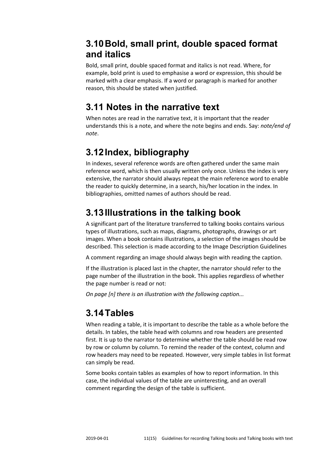### <span id="page-10-0"></span>**3.10Bold, small print, double spaced format and italics**

Bold, small print, double spaced format and italics is not read. Where, for example, bold print is used to emphasise a word or expression, this should be marked with a clear emphasis. If a word or paragraph is marked for another reason, this should be stated when justified.

# <span id="page-10-1"></span>**3.11 Notes in the narrative text**

When notes are read in the narrative text, it is important that the reader understands this is a note, and where the note begins and ends. Say: *note/end of note*.

# <span id="page-10-2"></span>**3.12Index, bibliography**

In indexes, several reference words are often gathered under the same main reference word, which is then usually written only once. Unless the index is very extensive, the narrator should always repeat the main reference word to enable the reader to quickly determine, in a search, his/her location in the index. In bibliographies, omitted names of authors should be read.

# <span id="page-10-3"></span>**3.13Illustrations in the talking book**

A significant part of the literature transferred to talking books contains various types of illustrations, such as maps, diagrams, photographs, drawings or art images. When a book contains illustrations, a selection of the images should be described. This selection is made according to the Image Description Guidelines

A comment regarding an image should always begin with reading the caption.

If the illustration is placed last in the chapter, the narrator should refer to the page number of the illustration in the book. This applies regardless of whether the page number is read or not:

*On page [n] there is an illustration with the following caption...*

# <span id="page-10-4"></span>**3.14Tables**

When reading a table, it is important to describe the table as a whole before the details. In tables, the table head with columns and row headers are presented first. It is up to the narrator to determine whether the table should be read row by row or column by column. To remind the reader of the context, column and row headers may need to be repeated. However, very simple tables in list format can simply be read.

Some books contain tables as examples of how to report information. In this case, the individual values of the table are uninteresting, and an overall comment regarding the design of the table is sufficient.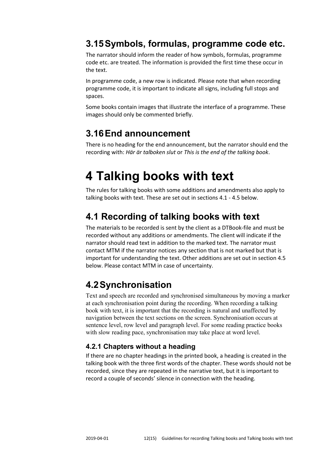### <span id="page-11-0"></span>**3.15Symbols, formulas, programme code etc.**

The narrator should inform the reader of how symbols, formulas, programme code etc. are treated. The information is provided the first time these occur in the text.

In programme code, a new row is indicated. Please note that when recording programme code, it is important to indicate all signs, including full stops and spaces.

Some books contain images that illustrate the interface of a programme. These images should only be commented briefly.

### <span id="page-11-1"></span>**3.16End announcement**

There is no heading for the end announcement, but the narrator should end the recording with: *Här är talboken slut* or *This is the end of the talking book*.

# <span id="page-11-2"></span>**4 Talking books with text**

The rules for talking books with some additions and amendments also apply to talking books with text. These are set out in sections 4.1 - 4.5 below.

## <span id="page-11-3"></span>**4.1 Recording of talking books with text**

The materials to be recorded is sent by the client as a DTBook-file and must be recorded without any additions or amendments. The client will indicate if the narrator should read text in addition to the marked text. The narrator must contact MTM if the narrator notices any section that is not marked but that is important for understanding the text. Other additions are set out in section 4.5 below. Please contact MTM in case of uncertainty.

# <span id="page-11-4"></span>**4.2Synchronisation**

Text and speech are recorded and synchronised simultaneous by moving a marker at each synchronisation point during the recording. When recording a talking book with text, it is important that the recording is natural and unaffected by navigation between the text sections on the screen. Synchronisation occurs at sentence level, row level and paragraph level. For some reading practice books with slow reading pace, synchronisation may take place at word level.

### <span id="page-11-5"></span>**4.2.1 Chapters without a heading**

If there are no chapter headings in the printed book, a heading is created in the talking book with the three first words of the chapter. These words should not be recorded, since they are repeated in the narrative text, but it is important to record a couple of seconds' silence in connection with the heading.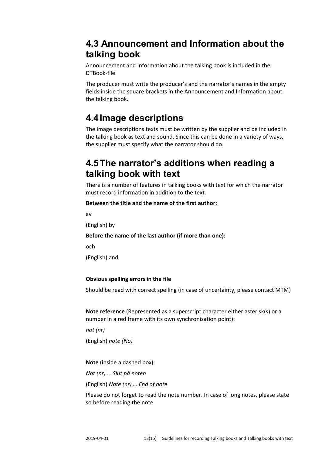### <span id="page-12-0"></span>**4.3 Announcement and Information about the talking book**

Announcement and Information about the talking book is included in the DTBook-file.

The producer must write the producer's and the narrator's names in the empty fields inside the square brackets in the Announcement and Information about the talking book.

## <span id="page-12-1"></span>**4.4Image descriptions**

The image descriptions texts must be written by the supplier and be included in the talking book as text and sound. Since this can be done in a variety of ways, the supplier must specify what the narrator should do.

### <span id="page-12-2"></span>**4.5The narrator's additions when reading a talking book with text**

There is a number of features in talking books with text for which the narrator must record information in addition to the text.

#### **Between the title and the name of the first author:**

av

(English) by

#### **Before the name of the last author (if more than one):**

och

(English) and

#### **Obvious spelling errors in the file**

Should be read with correct spelling (in case of uncertainty, please contact MTM)

**Note reference** (Represented as a superscript character either asterisk(s) or a number in a red frame with its own synchronisation point):

*not (nr)*

(English) *note (No)*

**Note** (inside a dashed box):

*Not (nr) … Slut på noten*

(English) *Note (nr) … End of note*

Please do not forget to read the note number. In case of long notes, please state so before reading the note.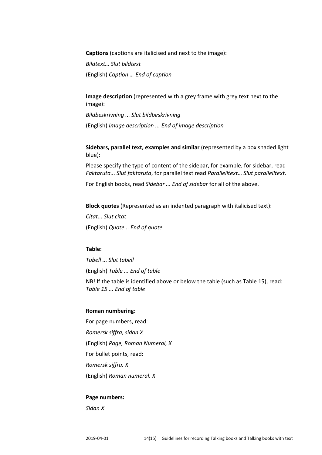**Captions** (captions are italicised and next to the image):

*Bildtext… Slut bildtext* (English) *Caption … End of caption*

**Image description** (represented with a grey frame with grey text next to the image):

*Bildbeskrivning ... Slut bildbeskrivning* (English) *Image description ... End of image description*

**Sidebars, parallel text, examples and similar** (represented by a box shaded light blue):

Please specify the type of content of the sidebar, for example, for sidebar, read *Faktaruta... Slut faktaruta*, for parallel text read *Parallelltext… Slut parallelltext*.

For English books, read *Sidebar ... End of sidebar* for all of the above.

**Block quotes** (Represented as an indented paragraph with italicised text):

*Citat... Slut citat* (English) *Quote... End of quote*

#### **Table:**

*Tabell ... Slut tabell* (English) *Table ... End of table*

NB! If the table is identified above or below the table (such as Table 15), read: *Table 15 ... End of table*

#### **Roman numbering:**

For page numbers, read: *Romersk siffra, sidan X* (English) *Page, Roman Numeral, X* For bullet points, read: *Romersk siffra, X* (English) *Roman numeral, X*

#### **Page numbers:**

*Sidan X*